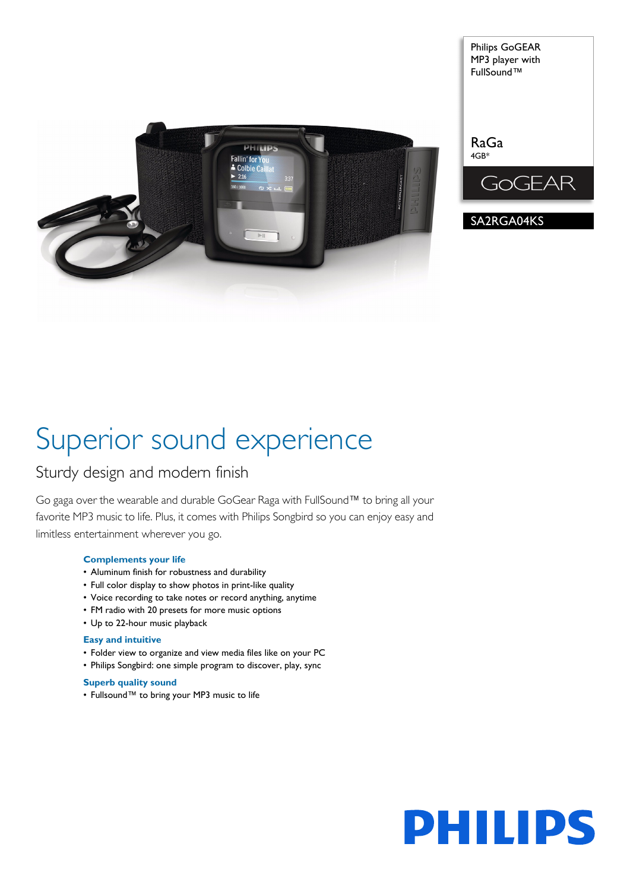

Philips GoGEAR MP3 player with FullSound™

GOGEAR

SA2RGA04KS

# Superior sound experience

# Sturdy design and modern finish

Go gaga over the wearable and durable GoGear Raga with FullSound™ to bring all your favorite MP3 music to life. Plus, it comes with Philips Songbird so you can enjoy easy and limitless entertainment wherever you go.

# **Complements your life**

- Aluminum finish for robustness and durability
- Full color display to show photos in print-like quality
- Voice recording to take notes or record anything, anytime
- FM radio with 20 presets for more music options
- Up to 22-hour music playback

# **Easy and intuitive**

- Folder view to organize and view media files like on your PC
- Philips Songbird: one simple program to discover, play, sync

# **Superb quality sound**

• Fullsound™ to bring your MP3 music to life

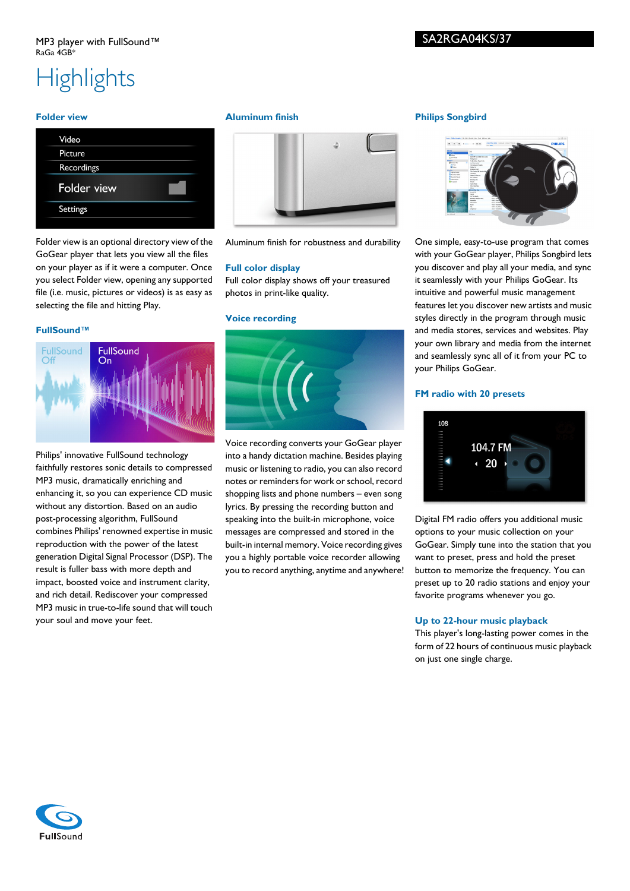# **Highlights**

## **Folder view**

| Video       |  |
|-------------|--|
| Picture     |  |
| Recordings  |  |
| Folder view |  |
| Settings    |  |
|             |  |

Folder view is an optional directory view of the GoGear player that lets you view all the files on your player as if it were a computer. Once you select Folder view, opening any supported file (i.e. music, pictures or videos) is as easy as selecting the file and hitting Play.

# **FullSound™**



Philips' innovative FullSound technology faithfully restores sonic details to compressed MP3 music, dramatically enriching and enhancing it, so you can experience CD music without any distortion. Based on an audio post-processing algorithm, FullSound combines Philips' renowned expertise in music reproduction with the power of the latest generation Digital Signal Processor (DSP). The result is fuller bass with more depth and impact, boosted voice and instrument clarity, and rich detail. Rediscover your compressed MP3 music in true-to-life sound that will touch your soul and move your feet.

## **Aluminum finish**



Aluminum finish for robustness and durability

# **Full color display**

Full color display shows off your treasured photos in print-like quality.

#### **Voice recording**



Voice recording converts your GoGear player into a handy dictation machine. Besides playing music or listening to radio, you can also record notes or reminders for work or school, record shopping lists and phone numbers – even song lyrics. By pressing the recording button and speaking into the built-in microphone, voice messages are compressed and stored in the built-in internal memory. Voice recording gives you a highly portable voice recorder allowing you to record anything, anytime and anywhere!

# **Philips Songbird**



One simple, easy-to-use program that comes with your GoGear player, Philips Songbird lets you discover and play all your media, and sync it seamlessly with your Philips GoGear. Its intuitive and powerful music management features let you discover new artists and music styles directly in the program through music and media stores, services and websites. Play your own library and media from the internet and seamlessly sync all of it from your PC to your Philips GoGear.

#### **FM radio with 20 presets**



Digital FM radio offers you additional music options to your music collection on your GoGear. Simply tune into the station that you want to preset, press and hold the preset button to memorize the frequency. You can preset up to 20 radio stations and enjoy your favorite programs whenever you go.

# **Up to 22-hour music playback**

This player's long-lasting power comes in the form of 22 hours of continuous music playback on just one single charge.